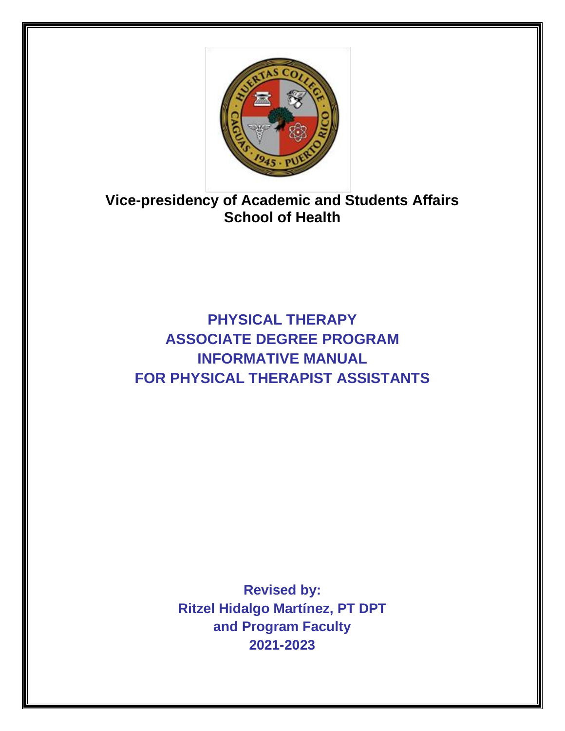

**Vice-presidency of Academic and Students Affairs School of Health** 

**PHYSICAL THERAPY ASSOCIATE DEGREE PROGRAM INFORMATIVE MANUAL FOR PHYSICAL THERAPIST ASSISTANTS**

> **Revised by: Ritzel Hidalgo Martínez, PT DPT and Program Faculty 2021-2023**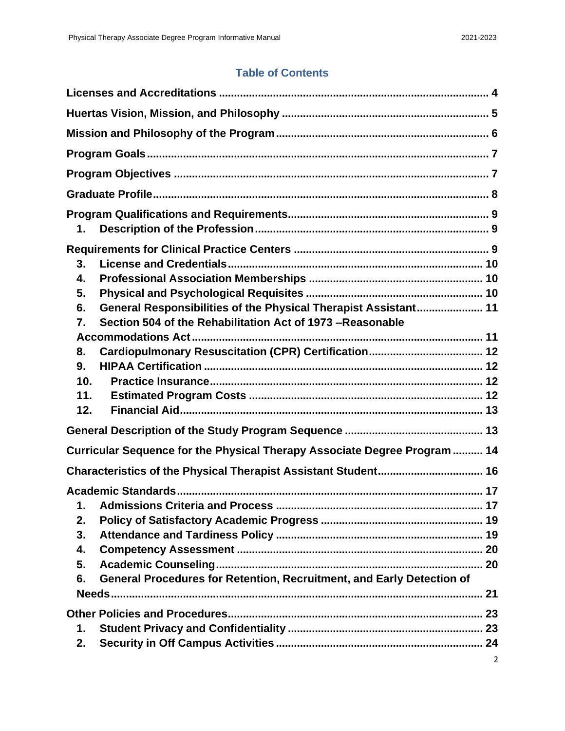# **Table of Contents**

| 1.                                                                                                                                                                                                      |
|---------------------------------------------------------------------------------------------------------------------------------------------------------------------------------------------------------|
| 3.<br>4.<br>5.<br>General Responsibilities of the Physical Therapist Assistant 11<br>6.<br>Section 504 of the Rehabilitation Act of 1973 -Reasonable<br>7.<br>8.<br>9.<br>10 <sub>1</sub><br>11.<br>12. |
|                                                                                                                                                                                                         |
| Curricular Sequence for the Physical Therapy Associate Degree Program  14                                                                                                                               |
|                                                                                                                                                                                                         |
| $\mathbf 1$ .<br>2.<br>3.<br>4.<br>5.<br>General Procedures for Retention, Recruitment, and Early Detection of<br>6.                                                                                    |
| 1.<br>2.                                                                                                                                                                                                |
| 2                                                                                                                                                                                                       |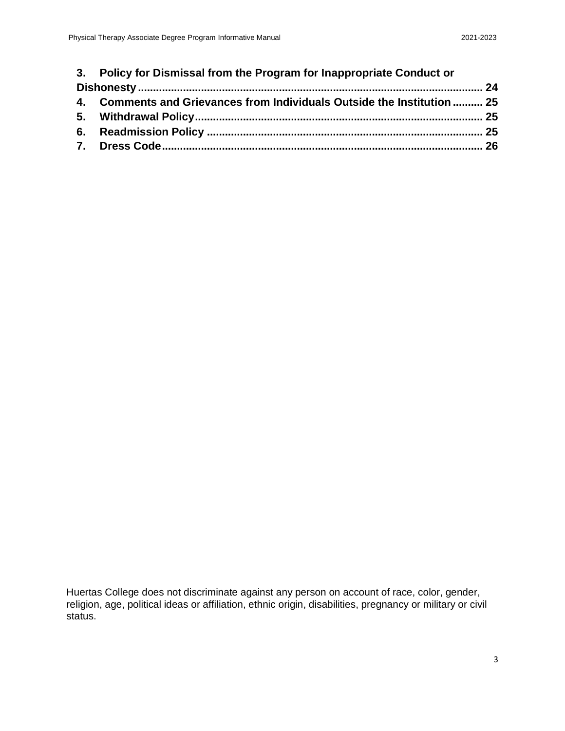| 3. Policy for Dismissal from the Program for Inappropriate Conduct or   |  |
|-------------------------------------------------------------------------|--|
|                                                                         |  |
| 4. Comments and Grievances from Individuals Outside the Institution  25 |  |

Huertas College does not discriminate against any person on account of race, color, gender, religion, age, political ideas or affiliation, ethnic origin, disabilities, pregnancy or military or civil status.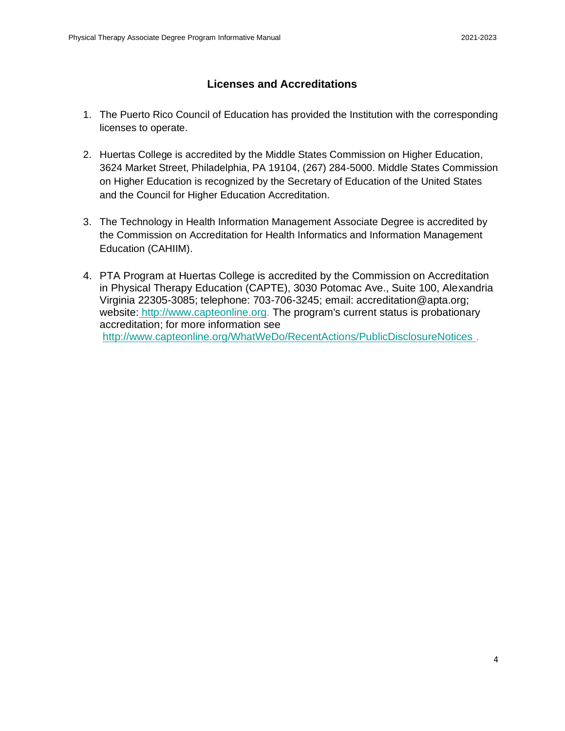### **Licenses and Accreditations**

- <span id="page-3-0"></span>1. The Puerto Rico Council of Education has provided the Institution with the corresponding licenses to operate.
- 2. Huertas College is accredited by the Middle States Commission on Higher Education, 3624 Market Street, Philadelphia, PA 19104, (267) 284-5000. Middle States Commission on Higher Education is recognized by the Secretary of Education of the United States and the Council for Higher Education Accreditation.
- 3. The Technology in Health Information Management Associate Degree is accredited by the Commission on Accreditation for Health Informatics and Information Management Education (CAHIIM).
- 4. PTA Program at Huertas College is accredited by the Commission on Accreditation in Physical Therapy Education (CAPTE), 3030 Potomac Ave., Suite 100, Alexandria Virginia 22305-3085; telephone: 703-706-3245; email: accreditation@apta.org; website: [http://www.capteonline.org.](http://www.capteonline.org/) The program's current status is probationary accreditation; for more information see <http://www.capteonline.org/WhatWeDo/RecentActions/PublicDisclosureNotices> .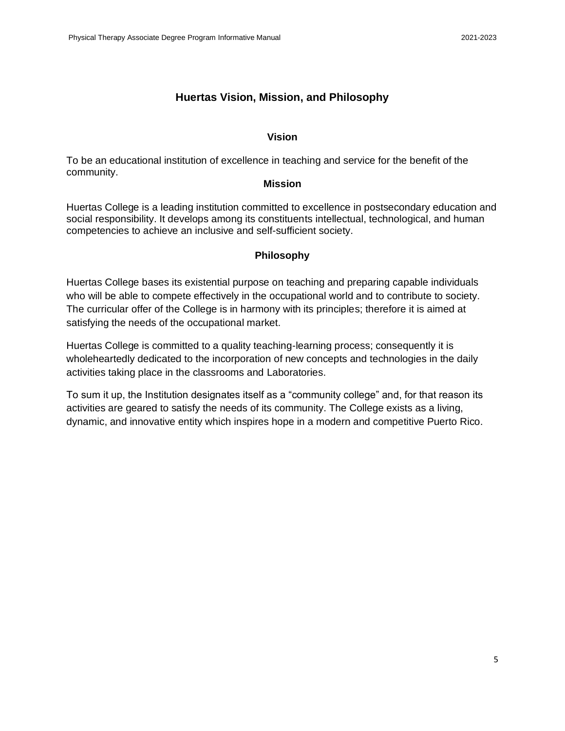#### **Huertas Vision, Mission, and Philosophy**

#### **Vision**

<span id="page-4-0"></span>To be an educational institution of excellence in teaching and service for the benefit of the community.

#### **Mission**

Huertas College is a leading institution committed to excellence in postsecondary education and social responsibility. It develops among its constituents intellectual, technological, and human competencies to achieve an inclusive and self-sufficient society.

#### **Philosophy**

Huertas College bases its existential purpose on teaching and preparing capable individuals who will be able to compete effectively in the occupational world and to contribute to society. The curricular offer of the College is in harmony with its principles; therefore it is aimed at satisfying the needs of the occupational market.

Huertas College is committed to a quality teaching-learning process; consequently it is wholeheartedly dedicated to the incorporation of new concepts and technologies in the daily activities taking place in the classrooms and Laboratories.

To sum it up, the Institution designates itself as a "community college" and, for that reason its activities are geared to satisfy the needs of its community. The College exists as a living, dynamic, and innovative entity which inspires hope in a modern and competitive Puerto Rico.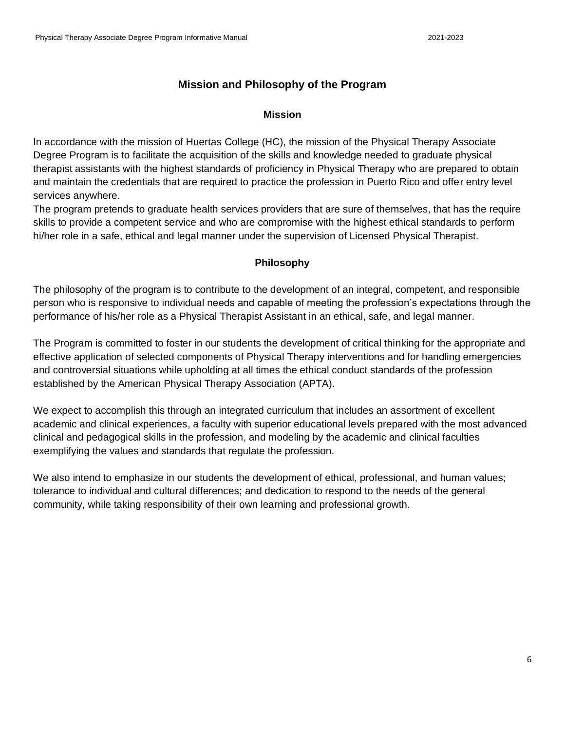# **Mission and Philosophy of the Program**

#### **Mission**

<span id="page-5-0"></span>In accordance with the mission of Huertas College (HC), the mission of the Physical Therapy Associate Degree Program is to facilitate the acquisition of the skills and knowledge needed to graduate physical therapist assistants with the highest standards of proficiency in Physical Therapy who are prepared to obtain and maintain the credentials that are required to practice the profession in Puerto Rico and offer entry level services anywhere.

The program pretends to graduate health services providers that are sure of themselves, that has the require skills to provide a competent service and who are compromise with the highest ethical standards to perform hi/her role in a safe, ethical and legal manner under the supervision of Licensed Physical Therapist.

#### **Philosophy**

The philosophy of the program is to contribute to the development of an integral, competent, and responsible person who is responsive to individual needs and capable of meeting the profession's expectations through the performance of his/her role as a Physical Therapist Assistant in an ethical, safe, and legal manner.

The Program is committed to foster in our students the development of critical thinking for the appropriate and effective application of selected components of Physical Therapy interventions and for handling emergencies and controversial situations while upholding at all times the ethical conduct standards of the profession established by the American Physical Therapy Association (APTA).

We expect to accomplish this through an integrated curriculum that includes an assortment of excellent academic and clinical experiences, a faculty with superior educational levels prepared with the most advanced clinical and pedagogical skills in the profession, and modeling by the academic and clinical faculties exemplifying the values and standards that regulate the profession.

We also intend to emphasize in our students the development of ethical, professional, and human values; tolerance to individual and cultural differences; and dedication to respond to the needs of the general community, while taking responsibility of their own learning and professional growth.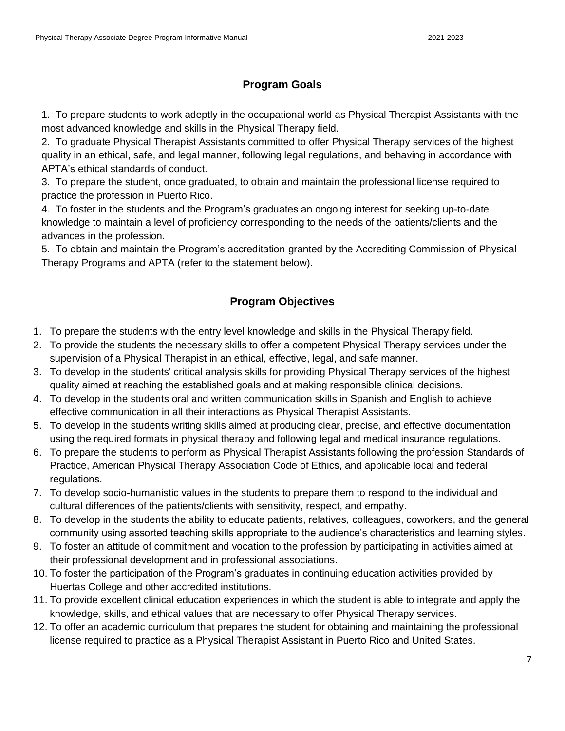# **Program Goals**

<span id="page-6-0"></span>1. To prepare students to work adeptly in the occupational world as Physical Therapist Assistants with the most advanced knowledge and skills in the Physical Therapy field.

2. To graduate Physical Therapist Assistants committed to offer Physical Therapy services of the highest quality in an ethical, safe, and legal manner, following legal regulations, and behaving in accordance with APTA's ethical standards of conduct.

3. To prepare the student, once graduated, to obtain and maintain the professional license required to practice the profession in Puerto Rico.

4. To foster in the students and the Program's graduates an ongoing interest for seeking up-to-date knowledge to maintain a level of proficiency corresponding to the needs of the patients/clients and the advances in the profession.

5. To obtain and maintain the Program's accreditation granted by the Accrediting Commission of Physical Therapy Programs and APTA (refer to the statement below).

# **Program Objectives**

- <span id="page-6-1"></span>1. To prepare the students with the entry level knowledge and skills in the Physical Therapy field.
- 2. To provide the students the necessary skills to offer a competent Physical Therapy services under the supervision of a Physical Therapist in an ethical, effective, legal, and safe manner.
- 3. To develop in the students' critical analysis skills for providing Physical Therapy services of the highest quality aimed at reaching the established goals and at making responsible clinical decisions.
- 4. To develop in the students oral and written communication skills in Spanish and English to achieve effective communication in all their interactions as Physical Therapist Assistants.
- 5. To develop in the students writing skills aimed at producing clear, precise, and effective documentation using the required formats in physical therapy and following legal and medical insurance regulations.
- 6. To prepare the students to perform as Physical Therapist Assistants following the profession Standards of Practice, American Physical Therapy Association Code of Ethics, and applicable local and federal regulations.
- 7. To develop socio-humanistic values in the students to prepare them to respond to the individual and cultural differences of the patients/clients with sensitivity, respect, and empathy.
- 8. To develop in the students the ability to educate patients, relatives, colleagues, coworkers, and the general community using assorted teaching skills appropriate to the audience's characteristics and learning styles.
- 9. To foster an attitude of commitment and vocation to the profession by participating in activities aimed at their professional development and in professional associations.
- 10. To foster the participation of the Program's graduates in continuing education activities provided by Huertas College and other accredited institutions.
- 11. To provide excellent clinical education experiences in which the student is able to integrate and apply the knowledge, skills, and ethical values that are necessary to offer Physical Therapy services.
- 12. To offer an academic curriculum that prepares the student for obtaining and maintaining the professional license required to practice as a Physical Therapist Assistant in Puerto Rico and United States.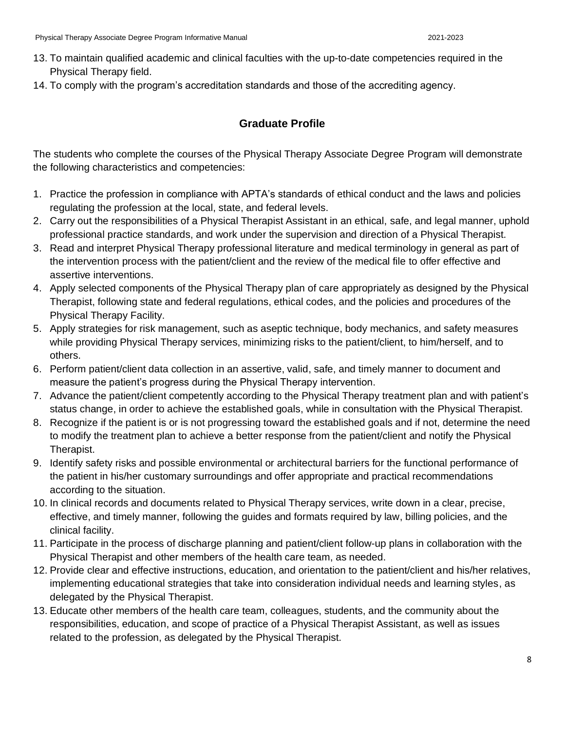- 13. To maintain qualified academic and clinical faculties with the up-to-date competencies required in the Physical Therapy field.
- <span id="page-7-0"></span>14. To comply with the program's accreditation standards and those of the accrediting agency.

### **Graduate Profile**

The students who complete the courses of the Physical Therapy Associate Degree Program will demonstrate the following characteristics and competencies:

- 1. Practice the profession in compliance with APTA's standards of ethical conduct and the laws and policies regulating the profession at the local, state, and federal levels.
- 2. Carry out the responsibilities of a Physical Therapist Assistant in an ethical, safe, and legal manner, uphold professional practice standards, and work under the supervision and direction of a Physical Therapist.
- 3. Read and interpret Physical Therapy professional literature and medical terminology in general as part of the intervention process with the patient/client and the review of the medical file to offer effective and assertive interventions.
- 4. Apply selected components of the Physical Therapy plan of care appropriately as designed by the Physical Therapist, following state and federal regulations, ethical codes, and the policies and procedures of the Physical Therapy Facility.
- 5. Apply strategies for risk management, such as aseptic technique, body mechanics, and safety measures while providing Physical Therapy services, minimizing risks to the patient/client, to him/herself, and to others.
- 6. Perform patient/client data collection in an assertive, valid, safe, and timely manner to document and measure the patient's progress during the Physical Therapy intervention.
- 7. Advance the patient/client competently according to the Physical Therapy treatment plan and with patient's status change, in order to achieve the established goals, while in consultation with the Physical Therapist.
- 8. Recognize if the patient is or is not progressing toward the established goals and if not, determine the need to modify the treatment plan to achieve a better response from the patient/client and notify the Physical Therapist.
- 9. Identify safety risks and possible environmental or architectural barriers for the functional performance of the patient in his/her customary surroundings and offer appropriate and practical recommendations according to the situation.
- 10. In clinical records and documents related to Physical Therapy services, write down in a clear, precise, effective, and timely manner, following the guides and formats required by law, billing policies, and the clinical facility.
- 11. Participate in the process of discharge planning and patient/client follow-up plans in collaboration with the Physical Therapist and other members of the health care team, as needed.
- 12. Provide clear and effective instructions, education, and orientation to the patient/client and his/her relatives, implementing educational strategies that take into consideration individual needs and learning styles, as delegated by the Physical Therapist.
- 13. Educate other members of the health care team, colleagues, students, and the community about the responsibilities, education, and scope of practice of a Physical Therapist Assistant, as well as issues related to the profession, as delegated by the Physical Therapist.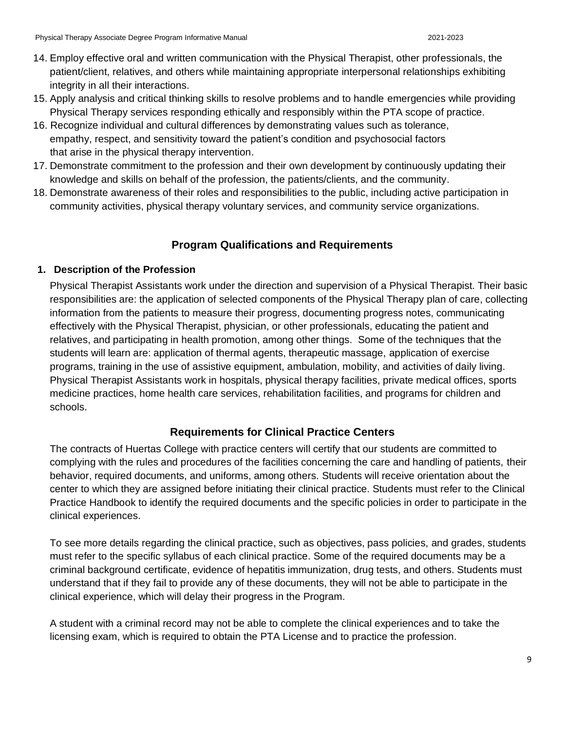- 14. Employ effective oral and written communication with the Physical Therapist, other professionals, the patient/client, relatives, and others while maintaining appropriate interpersonal relationships exhibiting integrity in all their interactions.
- 15. Apply analysis and critical thinking skills to resolve problems and to handle emergencies while providing Physical Therapy services responding ethically and responsibly within the PTA scope of practice.
- 16. Recognize individual and cultural differences by demonstrating values such as tolerance, empathy, respect, and sensitivity toward the patient's condition and psychosocial factors that arise in the physical therapy intervention.
- 17. Demonstrate commitment to the profession and their own development by continuously updating their knowledge and skills on behalf of the profession, the patients/clients, and the community.
- 18. Demonstrate awareness of their roles and responsibilities to the public, including active participation in community activities, physical therapy voluntary services, and community service organizations.

# **Program Qualifications and Requirements**

### <span id="page-8-1"></span><span id="page-8-0"></span>**1. Description of the Profession**

Physical Therapist Assistants work under the direction and supervision of a Physical Therapist. Their basic responsibilities are: the application of selected components of the Physical Therapy plan of care, collecting information from the patients to measure their progress, documenting progress notes, communicating effectively with the Physical Therapist, physician, or other professionals, educating the patient and relatives, and participating in health promotion, among other things. Some of the techniques that the students will learn are: application of thermal agents, therapeutic massage, application of exercise programs, training in the use of assistive equipment, ambulation, mobility, and activities of daily living. Physical Therapist Assistants work in hospitals, physical therapy facilities, private medical offices, sports medicine practices, home health care services, rehabilitation facilities, and programs for children and schools.

### **Requirements for Clinical Practice Centers**

<span id="page-8-2"></span>The contracts of Huertas College with practice centers will certify that our students are committed to complying with the rules and procedures of the facilities concerning the care and handling of patients, their behavior, required documents, and uniforms, among others. Students will receive orientation about the center to which they are assigned before initiating their clinical practice. Students must refer to the Clinical Practice Handbook to identify the required documents and the specific policies in order to participate in the clinical experiences.

To see more details regarding the clinical practice, such as objectives, pass policies, and grades, students must refer to the specific syllabus of each clinical practice. Some of the required documents may be a criminal background certificate, evidence of hepatitis immunization, drug tests, and others. Students must understand that if they fail to provide any of these documents, they will not be able to participate in the clinical experience, which will delay their progress in the Program.

A student with a criminal record may not be able to complete the clinical experiences and to take the licensing exam, which is required to obtain the PTA License and to practice the profession.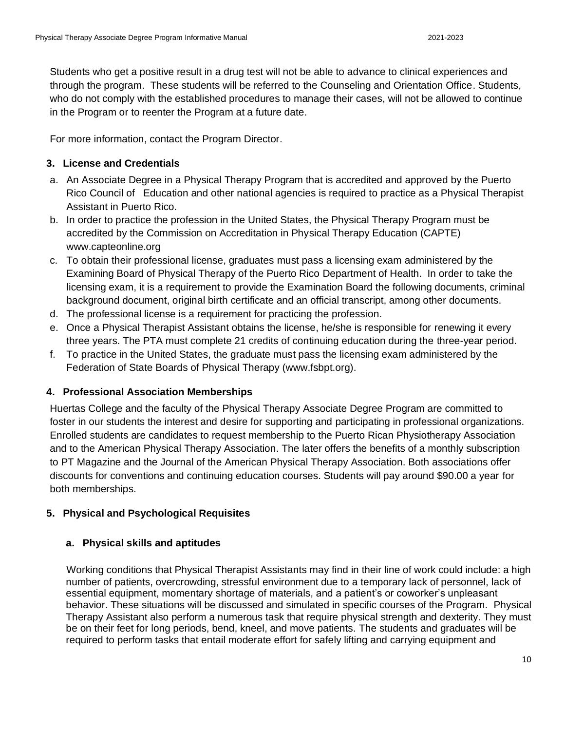Students who get a positive result in a drug test will not be able to advance to clinical experiences and through the program. These students will be referred to the Counseling and Orientation Office. Students, who do not comply with the established procedures to manage their cases, will not be allowed to continue in the Program or to reenter the Program at a future date.

For more information, contact the Program Director.

#### <span id="page-9-0"></span>**3. License and Credentials**

- a. An Associate Degree in a Physical Therapy Program that is accredited and approved by the Puerto Rico Council of Education and other national agencies is required to practice as a Physical Therapist Assistant in Puerto Rico.
- b. In order to practice the profession in the United States, the Physical Therapy Program must be accredited by the Commission on Accreditation in Physical Therapy Education (CAPTE) www.capteonline.org
- c. To obtain their professional license, graduates must pass a licensing exam administered by the Examining Board of Physical Therapy of the Puerto Rico Department of Health. In order to take the licensing exam, it is a requirement to provide the Examination Board the following documents, criminal background document, original birth certificate and an official transcript, among other documents.
- d. The professional license is a requirement for practicing the profession.
- e. Once a Physical Therapist Assistant obtains the license, he/she is responsible for renewing it every three years. The PTA must complete 21 credits of continuing education during the three-year period.
- f. To practice in the United States, the graduate must pass the licensing exam administered by the Federation of State Boards of Physical Therapy (www.fsbpt.org).

#### <span id="page-9-1"></span>**4. Professional Association Memberships**

Huertas College and the faculty of the Physical Therapy Associate Degree Program are committed to foster in our students the interest and desire for supporting and participating in professional organizations. Enrolled students are candidates to request membership to the Puerto Rican Physiotherapy Association and to the American Physical Therapy Association. The later offers the benefits of a monthly subscription to PT Magazine and the Journal of the American Physical Therapy Association. Both associations offer discounts for conventions and continuing education courses. Students will pay around \$90.00 a year for both memberships.

### <span id="page-9-2"></span>**5. Physical and Psychological Requisites**

#### **a. Physical skills and aptitudes**

Working conditions that Physical Therapist Assistants may find in their line of work could include: a high number of patients, overcrowding, stressful environment due to a temporary lack of personnel, lack of essential equipment, momentary shortage of materials, and a patient's or coworker's unpleasant behavior. These situations will be discussed and simulated in specific courses of the Program. Physical Therapy Assistant also perform a numerous task that require physical strength and dexterity. They must be on their feet for long periods, bend, kneel, and move patients. The students and graduates will be required to perform tasks that entail moderate effort for safely lifting and carrying equipment and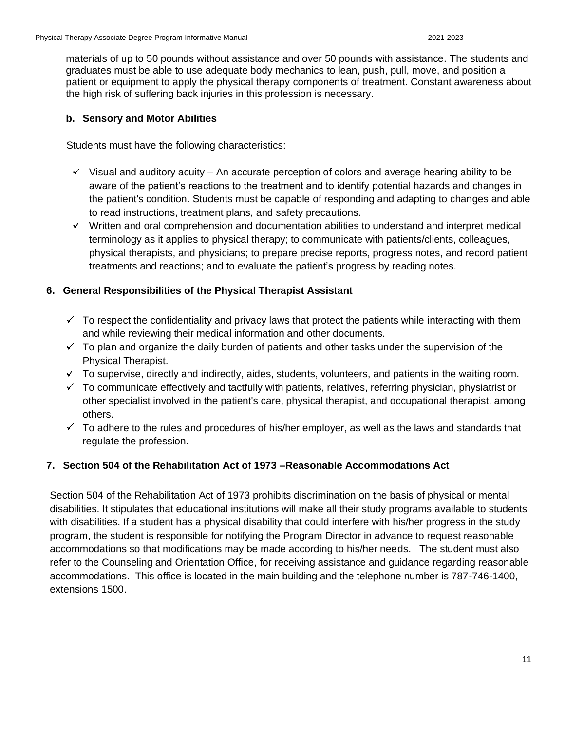materials of up to 50 pounds without assistance and over 50 pounds with assistance. The students and graduates must be able to use adequate body mechanics to lean, push, pull, move, and position a patient or equipment to apply the physical therapy components of treatment. Constant awareness about the high risk of suffering back injuries in this profession is necessary.

#### **b. Sensory and Motor Abilities**

Students must have the following characteristics:

- $\checkmark$  Visual and auditory acuity An accurate perception of colors and average hearing ability to be aware of the patient's reactions to the treatment and to identify potential hazards and changes in the patient's condition. Students must be capable of responding and adapting to changes and able to read instructions, treatment plans, and safety precautions.
- $\checkmark$  Written and oral comprehension and documentation abilities to understand and interpret medical terminology as it applies to physical therapy; to communicate with patients/clients, colleagues, physical therapists, and physicians; to prepare precise reports, progress notes, and record patient treatments and reactions; and to evaluate the patient's progress by reading notes.

#### <span id="page-10-0"></span>**6. General Responsibilities of the Physical Therapist Assistant**

- $\checkmark$  To respect the confidentiality and privacy laws that protect the patients while interacting with them and while reviewing their medical information and other documents.
- $\checkmark$  To plan and organize the daily burden of patients and other tasks under the supervision of the Physical Therapist.
- $\checkmark$  To supervise, directly and indirectly, aides, students, volunteers, and patients in the waiting room.
- $\checkmark$  To communicate effectively and tactfully with patients, relatives, referring physician, physiatrist or other specialist involved in the patient's care, physical therapist, and occupational therapist, among others.
- $\checkmark$  To adhere to the rules and procedures of his/her employer, as well as the laws and standards that regulate the profession.

#### <span id="page-10-1"></span>**7. Section 504 of the Rehabilitation Act of 1973 –Reasonable Accommodations Act**

Section 504 of the Rehabilitation Act of 1973 prohibits discrimination on the basis of physical or mental disabilities. It stipulates that educational institutions will make all their study programs available to students with disabilities. If a student has a physical disability that could interfere with his/her progress in the study program, the student is responsible for notifying the Program Director in advance to request reasonable accommodations so that modifications may be made according to his/her needs. The student must also refer to the Counseling and Orientation Office, for receiving assistance and guidance regarding reasonable accommodations. This office is located in the main building and the telephone number is 787-746-1400, extensions 1500.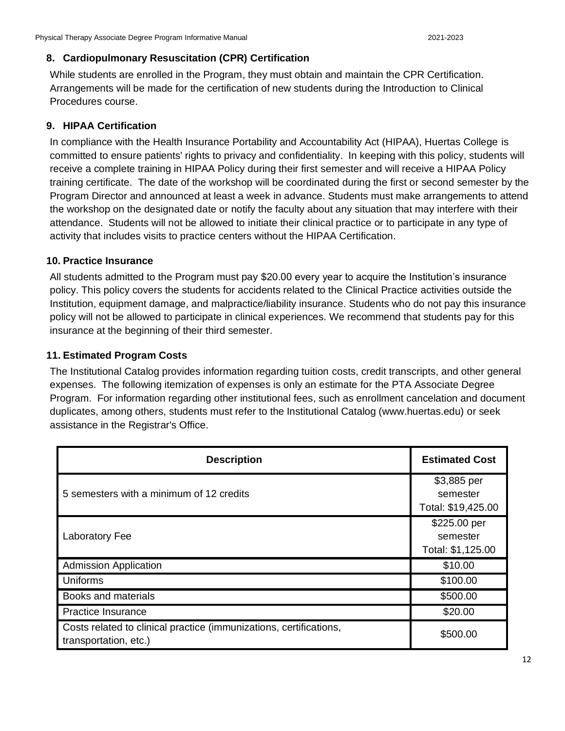#### <span id="page-11-0"></span>**8. Cardiopulmonary Resuscitation (CPR) Certification**

While students are enrolled in the Program, they must obtain and maintain the CPR Certification. Arrangements will be made for the certification of new students during the Introduction to Clinical Procedures course.

### <span id="page-11-1"></span>**9. HIPAA Certification**

In compliance with the Health Insurance Portability and Accountability Act (HIPAA), Huertas College is committed to ensure patients' rights to privacy and confidentiality. In keeping with this policy, students will receive a complete training in HIPAA Policy during their first semester and will receive a HIPAA Policy training certificate.The date of the workshop will be coordinated during the first or second semester by the Program Director and announced at least a week in advance. Students must make arrangements to attend the workshop on the designated date or notify the faculty about any situation that may interfere with their attendance. Students will not be allowed to initiate their clinical practice or to participate in any type of activity that includes visits to practice centers without the HIPAA Certification.

### <span id="page-11-2"></span>**10. Practice Insurance**

All students admitted to the Program must pay \$20.00 every year to acquire the Institution's insurance policy. This policy covers the students for accidents related to the Clinical Practice activities outside the Institution, equipment damage, and malpractice/liability insurance. Students who do not pay this insurance policy will not be allowed to participate in clinical experiences. We recommend that students pay for this insurance at the beginning of their third semester.

#### <span id="page-11-3"></span>**11. Estimated Program Costs**

The Institutional Catalog provides information regarding tuition costs, credit transcripts, and other general expenses. The following itemization of expenses is only an estimate for the PTA Associate Degree Program. For information regarding other institutional fees, such as enrollment cancelation and document duplicates, among others, students must refer to the Institutional Catalog (www.huertas.edu) or seek assistance in the Registrar's Office.

| <b>Description</b>                                                                          | <b>Estimated Cost</b>                         |
|---------------------------------------------------------------------------------------------|-----------------------------------------------|
| 5 semesters with a minimum of 12 credits                                                    | \$3,885 per<br>semester<br>Total: \$19,425.00 |
| Laboratory Fee                                                                              | \$225.00 per<br>semester<br>Total: \$1,125.00 |
| <b>Admission Application</b>                                                                | \$10.00                                       |
| Uniforms                                                                                    | \$100.00                                      |
| <b>Books and materials</b>                                                                  | \$500.00                                      |
| <b>Practice Insurance</b>                                                                   | \$20.00                                       |
| Costs related to clinical practice (immunizations, certifications,<br>transportation, etc.) | \$500.00                                      |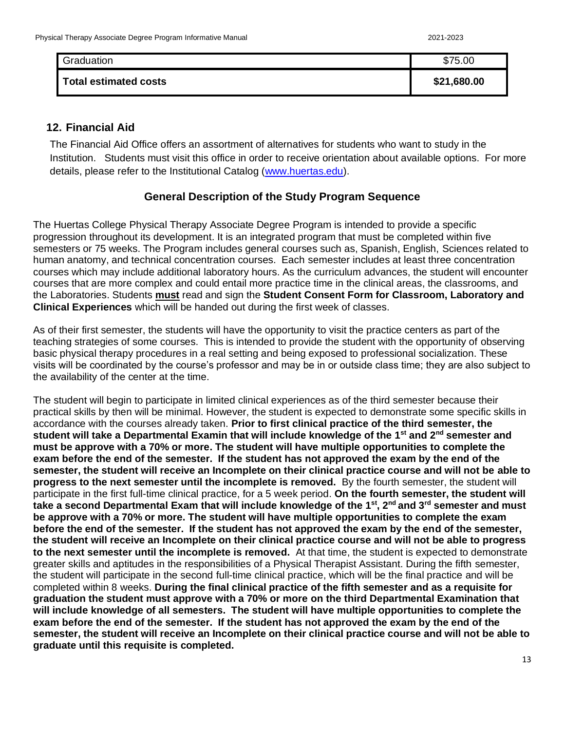| Graduation            | \$75.00     |
|-----------------------|-------------|
| Total estimated costs | \$21,680.00 |

### <span id="page-12-0"></span>**12. Financial Aid**

The Financial Aid Office offers an assortment of alternatives for students who want to study in the Institution. Students must visit this office in order to receive orientation about available options. For more details, please refer to the Institutional Catalog [\(www.huertas.edu\)](http://www.huertas.edu/).

### **General Description of the Study Program Sequence**

<span id="page-12-1"></span>The Huertas College Physical Therapy Associate Degree Program is intended to provide a specific progression throughout its development. It is an integrated program that must be completed within five semesters or 75 weeks. The Program includes general courses such as, Spanish, English, Sciences related to human anatomy, and technical concentration courses. Each semester includes at least three concentration courses which may include additional laboratory hours. As the curriculum advances, the student will encounter courses that are more complex and could entail more practice time in the clinical areas, the classrooms, and the Laboratories. Students **must** read and sign the **Student Consent Form for Classroom, Laboratory and Clinical Experiences** which will be handed out during the first week of classes.

As of their first semester, the students will have the opportunity to visit the practice centers as part of the teaching strategies of some courses. This is intended to provide the student with the opportunity of observing basic physical therapy procedures in a real setting and being exposed to professional socialization. These visits will be coordinated by the course's professor and may be in or outside class time; they are also subject to the availability of the center at the time.

The student will begin to participate in limited clinical experiences as of the third semester because their practical skills by then will be minimal. However, the student is expected to demonstrate some specific skills in accordance with the courses already taken. **Prior to first clinical practice of the third semester, the student will take a Departmental Examin that will include knowledge of the 1st and 2nd semester and must be approve with a 70% or more. The student will have multiple opportunities to complete the exam before the end of the semester. If the student has not approved the exam by the end of the semester, the student will receive an Incomplete on their clinical practice course and will not be able to progress to the next semester until the incomplete is removed.** By the fourth semester, the student will participate in the first full-time clinical practice, for a 5 week period. **On the fourth semester, the student will take a second Departmental Exam that will include knowledge of the 1st, 2nd and 3rd semester and must be approve with a 70% or more. The student will have multiple opportunities to complete the exam before the end of the semester. If the student has not approved the exam by the end of the semester, the student will receive an Incomplete on their clinical practice course and will not be able to progress to the next semester until the incomplete is removed.** At that time, the student is expected to demonstrate greater skills and aptitudes in the responsibilities of a Physical Therapist Assistant. During the fifth semester, the student will participate in the second full-time clinical practice, which will be the final practice and will be completed within 8 weeks. **During the final clinical practice of the fifth semester and as a requisite for graduation the student must approve with a 70% or more on the third Departmental Examination that will include knowledge of all semesters. The student will have multiple opportunities to complete the exam before the end of the semester. If the student has not approved the exam by the end of the semester, the student will receive an Incomplete on their clinical practice course and will not be able to graduate until this requisite is completed.**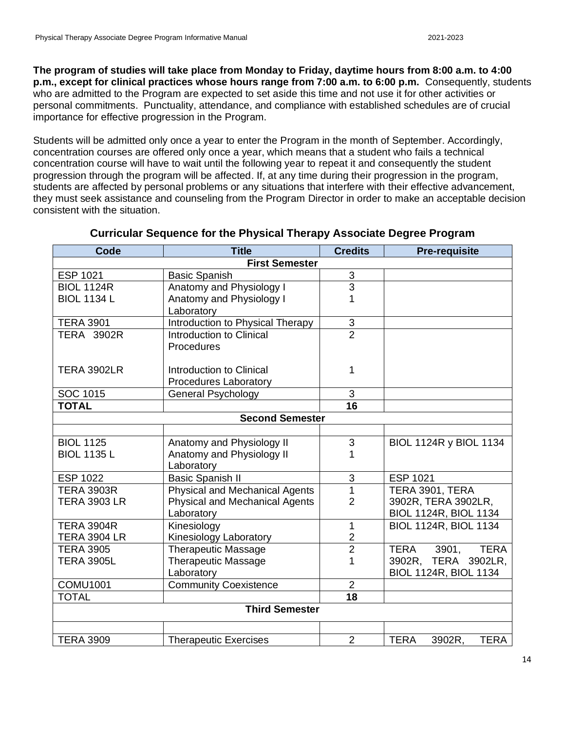**The program of studies will take place from Monday to Friday, daytime hours from 8:00 a.m. to 4:00 p.m., except for clinical practices whose hours range from 7:00 a.m. to 6:00 p.m.** Consequently, students who are admitted to the Program are expected to set aside this time and not use it for other activities or personal commitments. Punctuality, attendance, and compliance with established schedules are of crucial importance for effective progression in the Program.

Students will be admitted only once a year to enter the Program in the month of September. Accordingly, concentration courses are offered only once a year, which means that a student who fails a technical concentration course will have to wait until the following year to repeat it and consequently the student progression through the program will be affected. If, at any time during their progression in the program, students are affected by personal problems or any situations that interfere with their effective advancement, they must seek assistance and counseling from the Program Director in order to make an acceptable decision consistent with the situation.

<span id="page-13-0"></span>

| Code                  | <b>Title</b>                          | <b>Credits</b>            | <b>Pre-requisite</b>          |
|-----------------------|---------------------------------------|---------------------------|-------------------------------|
| <b>First Semester</b> |                                       |                           |                               |
| <b>ESP 1021</b>       | <b>Basic Spanish</b>                  | $\ensuremath{\mathsf{3}}$ |                               |
| <b>BIOL 1124R</b>     | Anatomy and Physiology I              | $\overline{3}$            |                               |
| <b>BIOL 1134 L</b>    | Anatomy and Physiology I              | 1                         |                               |
|                       | Laboratory                            |                           |                               |
| <b>TERA 3901</b>      | Introduction to Physical Therapy      | $\ensuremath{\mathsf{3}}$ |                               |
| <b>TERA 3902R</b>     | Introduction to Clinical              | $\overline{2}$            |                               |
|                       | Procedures                            |                           |                               |
|                       |                                       |                           |                               |
| <b>TERA 3902LR</b>    | Introduction to Clinical              | 1                         |                               |
|                       | Procedures Laboratory                 |                           |                               |
| SOC 1015              | <b>General Psychology</b>             | 3                         |                               |
| <b>TOTAL</b>          |                                       | $\overline{16}$           |                               |
|                       | <b>Second Semester</b>                |                           |                               |
|                       |                                       |                           |                               |
| <b>BIOL 1125</b>      | Anatomy and Physiology II             | 3                         | BIOL 1124R y BIOL 1134        |
| <b>BIOL 1135 L</b>    | Anatomy and Physiology II             | 1                         |                               |
|                       | Laboratory                            |                           |                               |
| <b>ESP 1022</b>       | <b>Basic Spanish II</b>               | 3                         | <b>ESP 1021</b>               |
| <b>TERA 3903R</b>     | <b>Physical and Mechanical Agents</b> | 1                         | TERA 3901, TERA               |
| <b>TERA 3903 LR</b>   | Physical and Mechanical Agents        | $\overline{2}$            | 3902R, TERA 3902LR,           |
|                       | Laboratory                            |                           | BIOL 1124R, BIOL 1134         |
| <b>TERA 3904R</b>     | Kinesiology                           | 1                         | <b>BIOL 1124R, BIOL 1134</b>  |
| <b>TERA 3904 LR</b>   | Kinesiology Laboratory                | $\overline{2}$            |                               |
| <b>TERA 3905</b>      | <b>Therapeutic Massage</b>            | $\overline{2}$            | 3901,<br><b>TERA</b><br>TERA  |
| <b>TERA 3905L</b>     | <b>Therapeutic Massage</b>            | 1                         | 3902R, TERA 3902LR,           |
|                       | Laboratory                            |                           | <b>BIOL 1124R, BIOL 1134</b>  |
| <b>COMU1001</b>       | <b>Community Coexistence</b>          | $\overline{2}$            |                               |
| <b>TOTAL</b>          |                                       | $\overline{18}$           |                               |
| <b>Third Semester</b> |                                       |                           |                               |
|                       |                                       |                           |                               |
| <b>TERA 3909</b>      | <b>Therapeutic Exercises</b>          | $\overline{2}$            | <b>TERA</b><br>TERA<br>3902R, |

#### **Curricular Sequence for the Physical Therapy Associate Degree Program**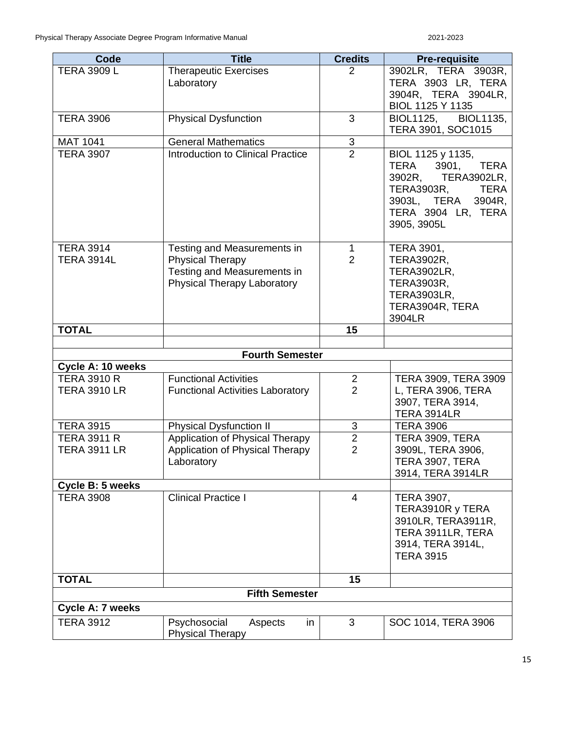| Code                                 | <b>Title</b>                             | <b>Credits</b>            | <b>Pre-requisite</b>                            |
|--------------------------------------|------------------------------------------|---------------------------|-------------------------------------------------|
| <b>TERA 3909 L</b>                   | <b>Therapeutic Exercises</b>             | $\overline{2}$            | 3902LR, TERA 3903R,                             |
|                                      | Laboratory                               |                           | TERA 3903 LR, TERA                              |
|                                      |                                          |                           | 3904R, TERA 3904LR,                             |
|                                      |                                          |                           | BIOL 1125 Y 1135                                |
| <b>TERA 3906</b>                     | <b>Physical Dysfunction</b>              | 3                         | <b>BIOL1125.</b><br><b>BIOL1135,</b>            |
|                                      |                                          |                           | TERA 3901, SOC1015                              |
| <b>MAT 1041</b>                      | <b>General Mathematics</b>               | $\frac{3}{2}$             |                                                 |
| <b>TERA 3907</b>                     | <b>Introduction to Clinical Practice</b> |                           | BIOL 1125 y 1135,                               |
|                                      |                                          |                           | TERA<br>3901,<br>TERA                           |
|                                      |                                          |                           | 3902R, TERA3902LR,<br><b>TERA3903R,</b><br>TERA |
|                                      |                                          |                           | 3903L, TERA<br>3904R,                           |
|                                      |                                          |                           | TERA 3904 LR, TERA                              |
|                                      |                                          |                           | 3905, 3905L                                     |
|                                      |                                          |                           |                                                 |
| <b>TERA 3914</b>                     | Testing and Measurements in              | $\mathbf{1}$              | <b>TERA 3901,</b>                               |
| <b>TERA 3914L</b>                    | <b>Physical Therapy</b>                  | $\overline{2}$            | <b>TERA3902R,</b>                               |
|                                      | Testing and Measurements in              |                           | <b>TERA3902LR,</b>                              |
|                                      | Physical Therapy Laboratory              |                           | <b>TERA3903R,</b>                               |
|                                      |                                          |                           | <b>TERA3903LR,</b>                              |
|                                      |                                          |                           | TERA3904R, TERA                                 |
|                                      |                                          |                           | 3904LR                                          |
| <b>TOTAL</b>                         |                                          | 15                        |                                                 |
|                                      | <b>Fourth Semester</b>                   |                           |                                                 |
| Cycle A: 10 weeks                    |                                          |                           |                                                 |
| <b>TERA 3910 R</b>                   | <b>Functional Activities</b>             | $\overline{2}$            | TERA 3909, TERA 3909                            |
| <b>TERA 3910 LR</b>                  | <b>Functional Activities Laboratory</b>  | $\overline{2}$            | L, TERA 3906, TERA                              |
|                                      |                                          |                           | 3907, TERA 3914,                                |
|                                      |                                          |                           | <b>TERA 3914LR</b>                              |
| <b>TERA 3915</b>                     | <b>Physical Dysfunction II</b>           | $\ensuremath{\mathsf{3}}$ | <b>TERA 3906</b>                                |
| <b>TERA 3911 R</b>                   | Application of Physical Therapy          | $\overline{2}$            | TERA 3909, TERA                                 |
| <b>TERA 3911 LR</b>                  | Application of Physical Therapy          | $\overline{2}$            | 3909L, TERA 3906,                               |
|                                      | Laboratory                               |                           | TERA 3907, TERA                                 |
|                                      |                                          |                           | 3914, TERA 3914LR                               |
| Cycle B: 5 weeks<br><b>TERA 3908</b> | <b>Clinical Practice I</b>               | 4                         | <b>TERA 3907,</b>                               |
|                                      |                                          |                           | TERA3910R y TERA                                |
|                                      |                                          |                           | 3910LR, TERA3911R,                              |
|                                      |                                          |                           | TERA 3911LR, TERA                               |
|                                      |                                          |                           | 3914, TERA 3914L,                               |
|                                      |                                          |                           | <b>TERA 3915</b>                                |
|                                      |                                          |                           |                                                 |
| <b>TOTAL</b>                         |                                          | 15                        |                                                 |
| <b>Fifth Semester</b>                |                                          |                           |                                                 |
| Cycle A: 7 weeks                     |                                          |                           |                                                 |
| <b>TERA 3912</b>                     | Psychosocial<br>Aspects<br>in            | 3                         | SOC 1014, TERA 3906                             |
|                                      | <b>Physical Therapy</b>                  |                           |                                                 |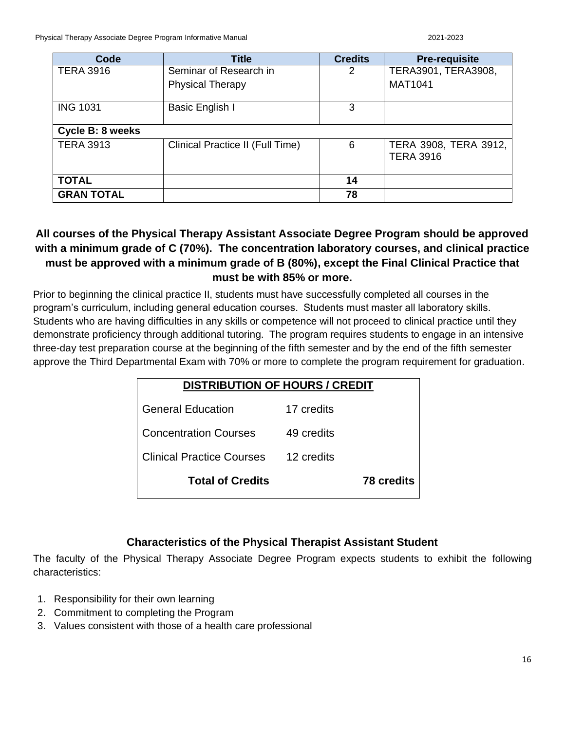| Code              | <b>Title</b>                     | <b>Credits</b> | <b>Pre-requisite</b>                      |
|-------------------|----------------------------------|----------------|-------------------------------------------|
| <b>TERA 3916</b>  | Seminar of Research in           | 2              | TERA3901, TERA3908,                       |
|                   | <b>Physical Therapy</b>          |                | <b>MAT1041</b>                            |
| <b>ING 1031</b>   | Basic English I                  | 3              |                                           |
| Cycle B: 8 weeks  |                                  |                |                                           |
| <b>TERA 3913</b>  | Clinical Practice II (Full Time) | 6              | TERA 3908, TERA 3912,<br><b>TERA 3916</b> |
| <b>TOTAL</b>      |                                  | 14             |                                           |
| <b>GRAN TOTAL</b> |                                  | 78             |                                           |

# <span id="page-15-0"></span>**All courses of the Physical Therapy Assistant Associate Degree Program should be approved with a minimum grade of C (70%). The concentration laboratory courses, and clinical practice must be approved with a minimum grade of B (80%), except the Final Clinical Practice that must be with 85% or more.**

Prior to beginning the clinical practice II, students must have successfully completed all courses in the program's curriculum, including general education courses. Students must master all laboratory skills. Students who are having difficulties in any skills or competence will not proceed to clinical practice until they demonstrate proficiency through additional tutoring. The program requires students to engage in an intensive three-day test preparation course at the beginning of the fifth semester and by the end of the fifth semester approve the Third Departmental Exam with 70% or more to complete the program requirement for graduation.

# **DISTRIBUTION OF HOURS / CREDIT**

| <b>General Education</b>     | 17 credits |                   |
|------------------------------|------------|-------------------|
| <b>Concentration Courses</b> | 49 credits |                   |
| Clinical Practice Courses    | 12 credits |                   |
| <b>Total of Credits</b>      |            | <b>78 credits</b> |

# **Characteristics of the Physical Therapist Assistant Student**

The faculty of the Physical Therapy Associate Degree Program expects students to exhibit the following characteristics:

- 1. Responsibility for their own learning
- 2. Commitment to completing the Program
- 3. Values consistent with those of a health care professional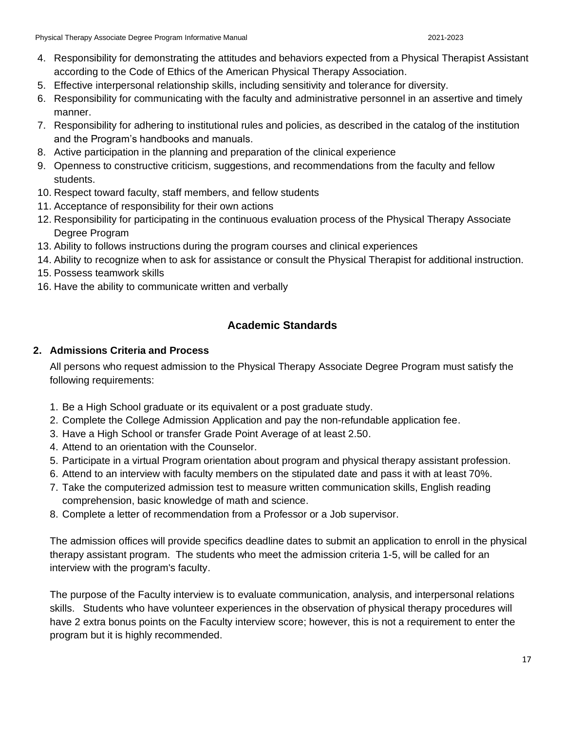- 4. Responsibility for demonstrating the attitudes and behaviors expected from a Physical Therapist Assistant according to the Code of Ethics of the American Physical Therapy Association.
- 5. Effective interpersonal relationship skills, including sensitivity and tolerance for diversity.
- 6. Responsibility for communicating with the faculty and administrative personnel in an assertive and timely manner.
- 7. Responsibility for adhering to institutional rules and policies, as described in the catalog of the institution and the Program's handbooks and manuals.
- 8. Active participation in the planning and preparation of the clinical experience
- 9. Openness to constructive criticism, suggestions, and recommendations from the faculty and fellow students.
- 10. Respect toward faculty, staff members, and fellow students
- 11. Acceptance of responsibility for their own actions
- 12. Responsibility for participating in the continuous evaluation process of the Physical Therapy Associate Degree Program
- 13. Ability to follows instructions during the program courses and clinical experiences
- 14. Ability to recognize when to ask for assistance or consult the Physical Therapist for additional instruction.
- 15. Possess teamwork skills
- <span id="page-16-0"></span>16. Have the ability to communicate written and verbally

# **Academic Standards**

### <span id="page-16-1"></span>**2. Admissions Criteria and Process**

All persons who request admission to the Physical Therapy Associate Degree Program must satisfy the following requirements:

- 1. Be a High School graduate or its equivalent or a post graduate study.
- 2. Complete the College Admission Application and pay the non-refundable application fee.
- 3. Have a High School or transfer Grade Point Average of at least 2.50.
- 4. Attend to an orientation with the Counselor.
- 5. Participate in a virtual Program orientation about program and physical therapy assistant profession.
- 6. Attend to an interview with faculty members on the stipulated date and pass it with at least 70%.
- 7. Take the computerized admission test to measure written communication skills, English reading comprehension, basic knowledge of math and science.
- 8. Complete a letter of recommendation from a Professor or a Job supervisor.

The admission offices will provide specifics deadline dates to submit an application to enroll in the physical therapy assistant program. The students who meet the admission criteria 1-5, will be called for an interview with the program's faculty.

The purpose of the Faculty interview is to evaluate communication, analysis, and interpersonal relations skills. Students who have volunteer experiences in the observation of physical therapy procedures will have 2 extra bonus points on the Faculty interview score; however, this is not a requirement to enter the program but it is highly recommended.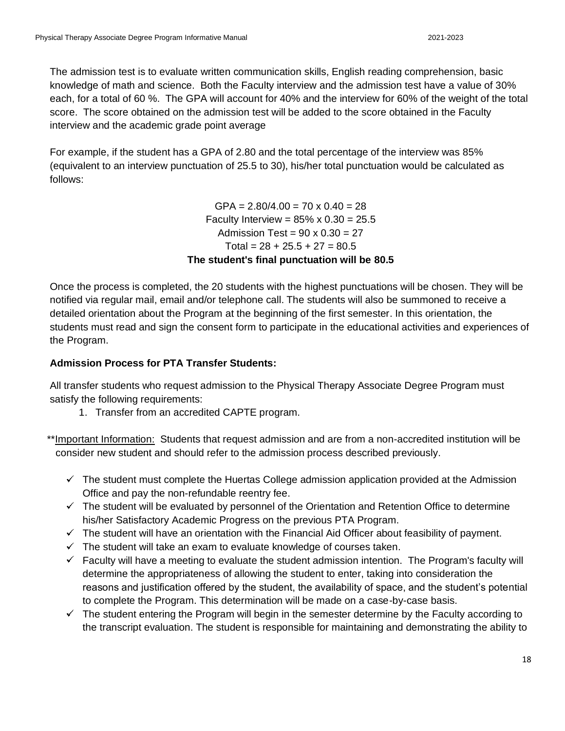The admission test is to evaluate written communication skills, English reading comprehension, basic knowledge of math and science. Both the Faculty interview and the admission test have a value of 30% each, for a total of 60 %. The GPA will account for 40% and the interview for 60% of the weight of the total score. The score obtained on the admission test will be added to the score obtained in the Faculty interview and the academic grade point average

For example, if the student has a GPA of 2.80 and the total percentage of the interview was 85% (equivalent to an interview punctuation of 25.5 to 30), his/her total punctuation would be calculated as follows:

> $GPA = 2.80/4.00 = 70 \times 0.40 = 28$ Faculty Interview =  $85\% \times 0.30 = 25.5$ Admission Test =  $90 \times 0.30 = 27$ Total =  $28 + 25.5 + 27 = 80.5$ **The student's final punctuation will be 80.5**

Once the process is completed, the 20 students with the highest punctuations will be chosen. They will be notified via regular mail, email and/or telephone call. The students will also be summoned to receive a detailed orientation about the Program at the beginning of the first semester. In this orientation, the students must read and sign the consent form to participate in the educational activities and experiences of the Program.

### **Admission Process for PTA Transfer Students:**

All transfer students who request admission to the Physical Therapy Associate Degree Program must satisfy the following requirements:

1. Transfer from an accredited CAPTE program.

 \*\*Important Information: Students that request admission and are from a non-accredited institution will be consider new student and should refer to the admission process described previously.

- $\checkmark$  The student must complete the Huertas College admission application provided at the Admission Office and pay the non-refundable reentry fee.
- $\checkmark$  The student will be evaluated by personnel of the Orientation and Retention Office to determine his/her Satisfactory Academic Progress on the previous PTA Program.
- $\checkmark$  The student will have an orientation with the Financial Aid Officer about feasibility of payment.
- $\checkmark$  The student will take an exam to evaluate knowledge of courses taken.
- $\checkmark$  Faculty will have a meeting to evaluate the student admission intention. The Program's faculty will determine the appropriateness of allowing the student to enter, taking into consideration the reasons and justification offered by the student, the availability of space, and the student's potential to complete the Program. This determination will be made on a case-by-case basis.
- $\checkmark$  The student entering the Program will begin in the semester determine by the Faculty according to the transcript evaluation. The student is responsible for maintaining and demonstrating the ability to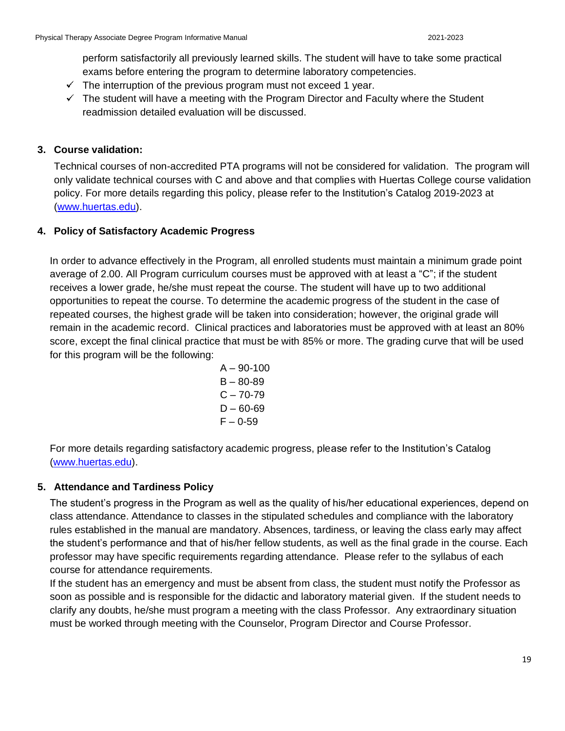perform satisfactorily all previously learned skills. The student will have to take some practical exams before entering the program to determine laboratory competencies.

- $\checkmark$  The interruption of the previous program must not exceed 1 year.
- $\checkmark$  The student will have a meeting with the Program Director and Faculty where the Student readmission detailed evaluation will be discussed.

### <span id="page-18-0"></span>**3. Course validation:**

Technical courses of non-accredited PTA programs will not be considered for validation. The program will only validate technical courses with C and above and that complies with Huertas College course validation policy. For more details regarding this policy, please refer to the Institution's Catalog 2019-2023 at [\(www.huertas.edu\)](http://www.huertas.edu/).

### **4. Policy of Satisfactory Academic Progress**

In order to advance effectively in the Program, all enrolled students must maintain a minimum grade point average of 2.00. All Program curriculum courses must be approved with at least a "C"; if the student receives a lower grade, he/she must repeat the course. The student will have up to two additional opportunities to repeat the course. To determine the academic progress of the student in the case of repeated courses, the highest grade will be taken into consideration; however, the original grade will remain in the academic record. Clinical practices and laboratories must be approved with at least an 80% score, except the final clinical practice that must be with 85% or more. The grading curve that will be used for this program will be the following:

$$
A - 90-100
$$
  
\n
$$
B - 80-89
$$
  
\n
$$
C - 70-79
$$
  
\n
$$
D - 60-69
$$
  
\n
$$
F - 0-59
$$

For more details regarding satisfactory academic progress, please refer to the Institution's Catalog [\(www.huertas.edu\)](http://www.huertas.edu/).

### <span id="page-18-1"></span>**5. Attendance and Tardiness Policy**

The student's progress in the Program as well as the quality of his/her educational experiences, depend on class attendance. Attendance to classes in the stipulated schedules and compliance with the laboratory rules established in the manual are mandatory. Absences, tardiness, or leaving the class early may affect the student's performance and that of his/her fellow students, as well as the final grade in the course. Each professor may have specific requirements regarding attendance. Please refer to the syllabus of each course for attendance requirements.

If the student has an emergency and must be absent from class, the student must notify the Professor as soon as possible and is responsible for the didactic and laboratory material given. If the student needs to clarify any doubts, he/she must program a meeting with the class Professor. Any extraordinary situation must be worked through meeting with the Counselor, Program Director and Course Professor.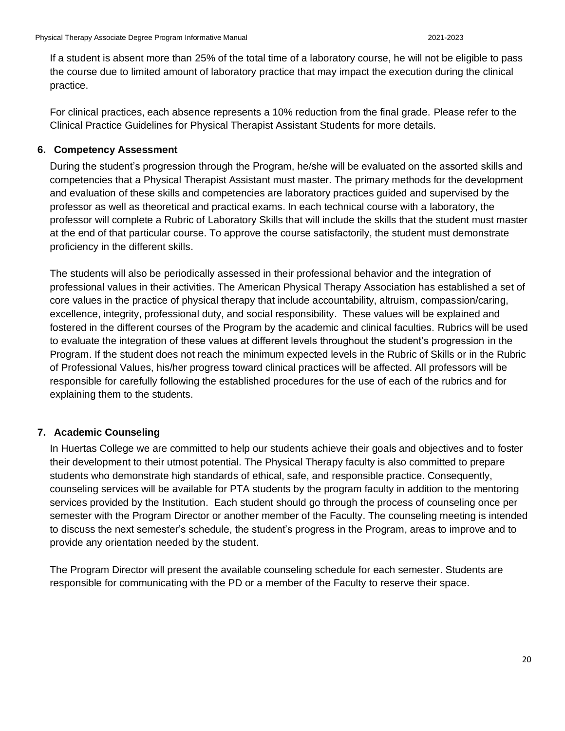If a student is absent more than 25% of the total time of a laboratory course, he will not be eligible to pass the course due to limited amount of laboratory practice that may impact the execution during the clinical practice.

For clinical practices, each absence represents a 10% reduction from the final grade. Please refer to the Clinical Practice Guidelines for Physical Therapist Assistant Students for more details.

#### <span id="page-19-0"></span>**6. Competency Assessment**

During the student's progression through the Program, he/she will be evaluated on the assorted skills and competencies that a Physical Therapist Assistant must master. The primary methods for the development and evaluation of these skills and competencies are laboratory practices guided and supervised by the professor as well as theoretical and practical exams. In each technical course with a laboratory, the professor will complete a Rubric of Laboratory Skills that will include the skills that the student must master at the end of that particular course. To approve the course satisfactorily, the student must demonstrate proficiency in the different skills.

The students will also be periodically assessed in their professional behavior and the integration of professional values in their activities. The American Physical Therapy Association has established a set of core values in the practice of physical therapy that include accountability, altruism, compassion/caring, excellence, integrity, professional duty, and social responsibility. These values will be explained and fostered in the different courses of the Program by the academic and clinical faculties. Rubrics will be used to evaluate the integration of these values at different levels throughout the student's progression in the Program. If the student does not reach the minimum expected levels in the Rubric of Skills or in the Rubric of Professional Values, his/her progress toward clinical practices will be affected. All professors will be responsible for carefully following the established procedures for the use of each of the rubrics and for explaining them to the students.

### <span id="page-19-1"></span>**7. Academic Counseling**

In Huertas College we are committed to help our students achieve their goals and objectives and to foster their development to their utmost potential. The Physical Therapy faculty is also committed to prepare students who demonstrate high standards of ethical, safe, and responsible practice. Consequently, counseling services will be available for PTA students by the program faculty in addition to the mentoring services provided by the Institution. Each student should go through the process of counseling once per semester with the Program Director or another member of the Faculty. The counseling meeting is intended to discuss the next semester's schedule, the student's progress in the Program, areas to improve and to provide any orientation needed by the student.

The Program Director will present the available counseling schedule for each semester. Students are responsible for communicating with the PD or a member of the Faculty to reserve their space.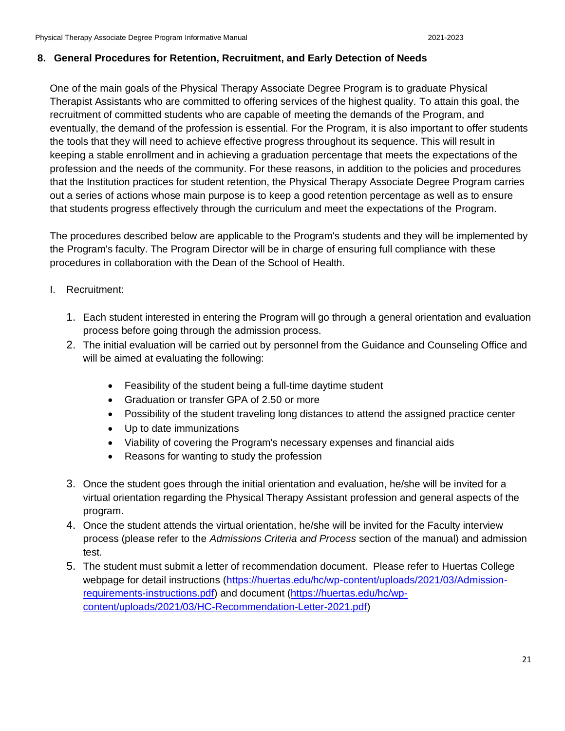#### <span id="page-20-0"></span>**8. General Procedures for Retention, Recruitment, and Early Detection of Needs**

One of the main goals of the Physical Therapy Associate Degree Program is to graduate Physical Therapist Assistants who are committed to offering services of the highest quality. To attain this goal, the recruitment of committed students who are capable of meeting the demands of the Program, and eventually, the demand of the profession is essential. For the Program, it is also important to offer students the tools that they will need to achieve effective progress throughout its sequence. This will result in keeping a stable enrollment and in achieving a graduation percentage that meets the expectations of the profession and the needs of the community. For these reasons, in addition to the policies and procedures that the Institution practices for student retention, the Physical Therapy Associate Degree Program carries out a series of actions whose main purpose is to keep a good retention percentage as well as to ensure that students progress effectively through the curriculum and meet the expectations of the Program.

The procedures described below are applicable to the Program's students and they will be implemented by the Program's faculty. The Program Director will be in charge of ensuring full compliance with these procedures in collaboration with the Dean of the School of Health.

- I. Recruitment:
	- 1. Each student interested in entering the Program will go through a general orientation and evaluation process before going through the admission process.
	- 2. The initial evaluation will be carried out by personnel from the Guidance and Counseling Office and will be aimed at evaluating the following:
		- Feasibility of the student being a full-time daytime student
		- Graduation or transfer GPA of 2.50 or more
		- Possibility of the student traveling long distances to attend the assigned practice center
		- Up to date immunizations
		- Viability of covering the Program's necessary expenses and financial aids
		- Reasons for wanting to study the profession
	- 3. Once the student goes through the initial orientation and evaluation, he/she will be invited for a virtual orientation regarding the Physical Therapy Assistant profession and general aspects of the program.
	- 4. Once the student attends the virtual orientation, he/she will be invited for the Faculty interview process (please refer to the *Admissions Criteria and Process* section of the manual) and admission test.
	- 5. The student must submit a letter of recommendation document. Please refer to Huertas College webpage for detail instructions [\(https://huertas.edu/hc/wp-content/uploads/2021/03/Admission](https://huertas.edu/hc/wp-content/uploads/2021/03/Admission-requirements-instructions.pdf)[requirements-instructions.pdf\)](https://huertas.edu/hc/wp-content/uploads/2021/03/Admission-requirements-instructions.pdf) and document [\(https://huertas.edu/hc/wp](https://huertas.edu/hc/wp-content/uploads/2021/03/HC-Recommendation-Letter-2021.pdf)[content/uploads/2021/03/HC-Recommendation-Letter-2021.pdf\)](https://huertas.edu/hc/wp-content/uploads/2021/03/HC-Recommendation-Letter-2021.pdf)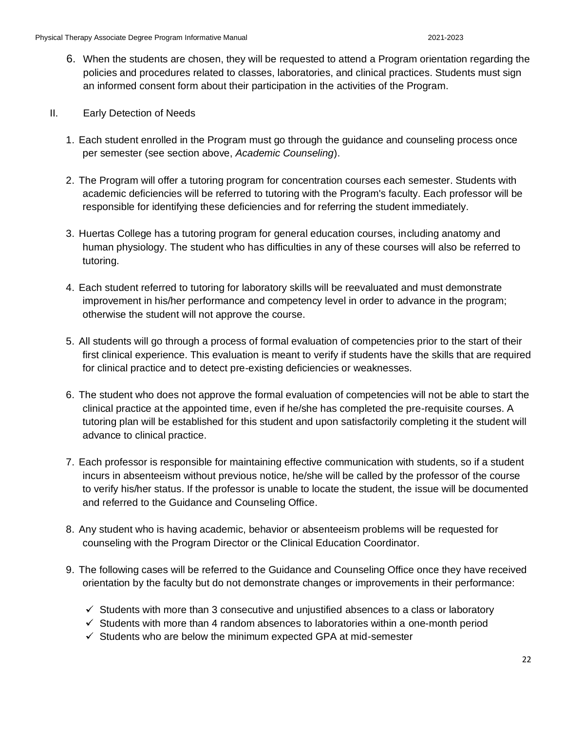- 6. When the students are chosen, they will be requested to attend a Program orientation regarding the policies and procedures related to classes, laboratories, and clinical practices. Students must sign an informed consent form about their participation in the activities of the Program.
- II. Early Detection of Needs
	- 1. Each student enrolled in the Program must go through the guidance and counseling process once per semester (see section above, *Academic Counseling*).
	- 2. The Program will offer a tutoring program for concentration courses each semester. Students with academic deficiencies will be referred to tutoring with the Program's faculty. Each professor will be responsible for identifying these deficiencies and for referring the student immediately.
	- 3. Huertas College has a tutoring program for general education courses, including anatomy and human physiology. The student who has difficulties in any of these courses will also be referred to tutoring.
	- 4. Each student referred to tutoring for laboratory skills will be reevaluated and must demonstrate improvement in his/her performance and competency level in order to advance in the program; otherwise the student will not approve the course.
	- 5. All students will go through a process of formal evaluation of competencies prior to the start of their first clinical experience. This evaluation is meant to verify if students have the skills that are required for clinical practice and to detect pre-existing deficiencies or weaknesses.
	- 6. The student who does not approve the formal evaluation of competencies will not be able to start the clinical practice at the appointed time, even if he/she has completed the pre-requisite courses. A tutoring plan will be established for this student and upon satisfactorily completing it the student will advance to clinical practice.
	- 7. Each professor is responsible for maintaining effective communication with students, so if a student incurs in absenteeism without previous notice, he/she will be called by the professor of the course to verify his/her status. If the professor is unable to locate the student, the issue will be documented and referred to the Guidance and Counseling Office.
	- 8. Any student who is having academic, behavior or absenteeism problems will be requested for counseling with the Program Director or the Clinical Education Coordinator.
	- 9. The following cases will be referred to the Guidance and Counseling Office once they have received orientation by the faculty but do not demonstrate changes or improvements in their performance:
		- $\checkmark$  Students with more than 3 consecutive and unjustified absences to a class or laboratory
		- $\checkmark$  Students with more than 4 random absences to laboratories within a one-month period
		- $\checkmark$  Students who are below the minimum expected GPA at mid-semester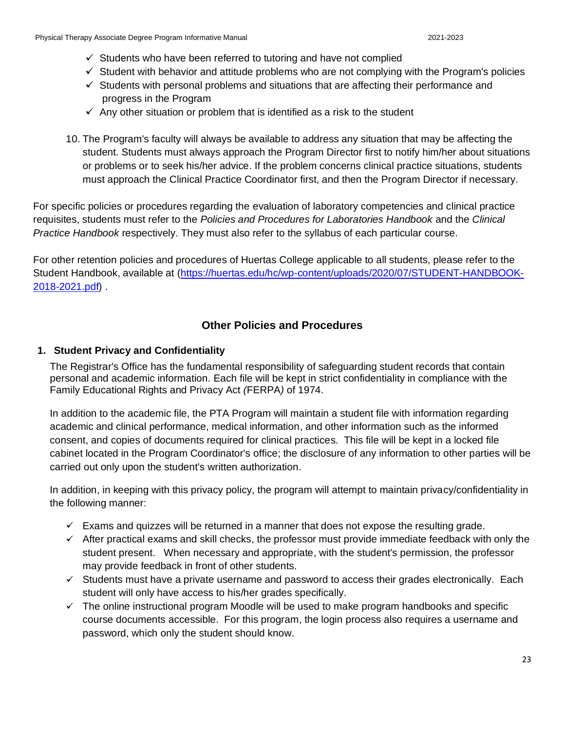- $\checkmark$  Students who have been referred to tutoring and have not complied
- $\checkmark$  Student with behavior and attitude problems who are not complying with the Program's policies
- $\checkmark$  Students with personal problems and situations that are affecting their performance and progress in the Program
- $\checkmark$  Any other situation or problem that is identified as a risk to the student
- 10. The Program's faculty will always be available to address any situation that may be affecting the student. Students must always approach the Program Director first to notify him/her about situations or problems or to seek his/her advice. If the problem concerns clinical practice situations, students must approach the Clinical Practice Coordinator first, and then the Program Director if necessary.

For specific policies or procedures regarding the evaluation of laboratory competencies and clinical practice requisites, students must refer to the *Policies and Procedures for Laboratories Handbook* and the *Clinical Practice Handbook* respectively. They must also refer to the syllabus of each particular course.

For other retention policies and procedures of Huertas College applicable to all students, please refer to the Student Handbook, available at [\(https://huertas.edu/hc/wp-content/uploads/2020/07/STUDENT-HANDBOOK-](https://huertas.edu/hc/wp-content/uploads/2020/07/STUDENT-HANDBOOK-2018-2021.pdf)[2018-2021.pdf\)](https://huertas.edu/hc/wp-content/uploads/2020/07/STUDENT-HANDBOOK-2018-2021.pdf) .

### **Other Policies and Procedures**

#### <span id="page-22-1"></span><span id="page-22-0"></span>**1. Student Privacy and Confidentiality**

The Registrar's Office has the fundamental responsibility of safeguarding student records that contain personal and academic information. Each file will be kept in strict confidentiality in compliance with the Family Educational Rights and Privacy Act *(*FERPA*)* of 1974.

In addition to the academic file, the PTA Program will maintain a student file with information regarding academic and clinical performance, medical information, and other information such as the informed consent, and copies of documents required for clinical practices. This file will be kept in a locked file cabinet located in the Program Coordinator's office; the disclosure of any information to other parties will be carried out only upon the student's written authorization.

In addition, in keeping with this privacy policy, the program will attempt to maintain privacy/confidentiality in the following manner:

- $\checkmark$  Exams and quizzes will be returned in a manner that does not expose the resulting grade.
- $\checkmark$  After practical exams and skill checks, the professor must provide immediate feedback with only the student present. When necessary and appropriate, with the student's permission, the professor may provide feedback in front of other students.
- $\checkmark$  Students must have a private username and password to access their grades electronically. Each student will only have access to his/her grades specifically.
- $\checkmark$  The online instructional program Moodle will be used to make program handbooks and specific course documents accessible. For this program, the login process also requires a username and password, which only the student should know.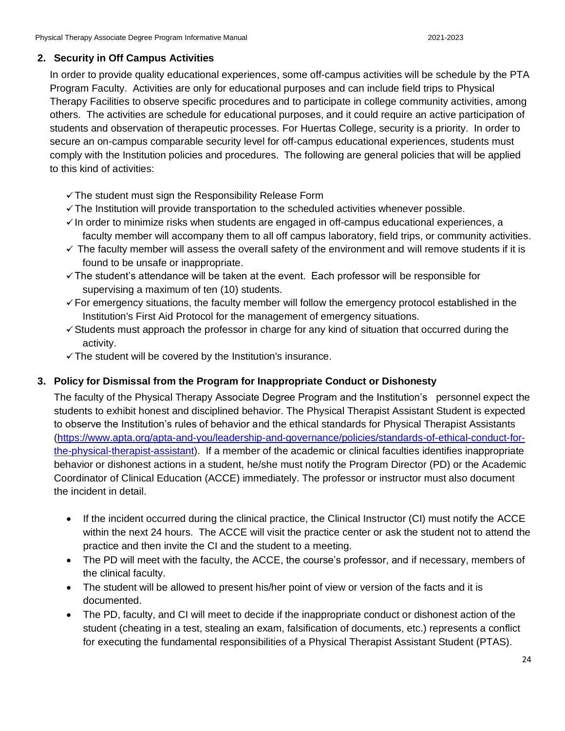#### <span id="page-23-0"></span>**2. Security in Off Campus Activities**

In order to provide quality educational experiences, some off-campus activities will be schedule by the PTA Program Faculty. Activities are only for educational purposes and can include field trips to Physical Therapy Facilities to observe specific procedures and to participate in college community activities, among others. The activities are schedule for educational purposes, and it could require an active participation of students and observation of therapeutic processes. For Huertas College, security is a priority. In order to secure an on-campus comparable security level for off-campus educational experiences, students must comply with the Institution policies and procedures. The following are general policies that will be applied to this kind of activities:

- $\checkmark$  The student must sign the Responsibility Release Form
- $\checkmark$  The Institution will provide transportation to the scheduled activities whenever possible.
- $\checkmark$  In order to minimize risks when students are engaged in off-campus educational experiences, a faculty member will accompany them to all off campus laboratory, field trips, or community activities.
- $\checkmark$  The faculty member will assess the overall safety of the environment and will remove students if it is found to be unsafe or inappropriate.
- $\checkmark$  The student's attendance will be taken at the event. Each professor will be responsible for supervising a maximum of ten (10) students.
- $\checkmark$  For emergency situations, the faculty member will follow the emergency protocol established in the Institution's First Aid Protocol for the management of emergency situations.
- $\checkmark$  Students must approach the professor in charge for any kind of situation that occurred during the activity.
- $\checkmark$  The student will be covered by the Institution's insurance.

#### <span id="page-23-1"></span>**3. Policy for Dismissal from the Program for Inappropriate Conduct or Dishonesty**

The faculty of the Physical Therapy Associate Degree Program and the Institution's personnel expect the students to exhibit honest and disciplined behavior. The Physical Therapist Assistant Student is expected to observe the Institution's rules of behavior and the ethical standards for Physical Therapist Assistants [\(https://www.apta.org/apta-and-you/leadership-and-governance/policies/standards-of-ethical-conduct-for](https://www.apta.org/apta-and-you/leadership-and-governance/policies/standards-of-ethical-conduct-for-the-physical-therapist-assistant)[the-physical-therapist-assistant\)](https://www.apta.org/apta-and-you/leadership-and-governance/policies/standards-of-ethical-conduct-for-the-physical-therapist-assistant). If a member of the academic or clinical faculties identifies inappropriate behavior or dishonest actions in a student, he/she must notify the Program Director (PD) or the Academic Coordinator of Clinical Education (ACCE) immediately. The professor or instructor must also document the incident in detail.

- If the incident occurred during the clinical practice, the Clinical Instructor (CI) must notify the ACCE within the next 24 hours. The ACCE will visit the practice center or ask the student not to attend the practice and then invite the CI and the student to a meeting.
- The PD will meet with the faculty, the ACCE, the course's professor, and if necessary, members of the clinical faculty.
- The student will be allowed to present his/her point of view or version of the facts and it is documented.
- The PD, faculty, and CI will meet to decide if the inappropriate conduct or dishonest action of the student (cheating in a test, stealing an exam, falsification of documents, etc.) represents a conflict for executing the fundamental responsibilities of a Physical Therapist Assistant Student (PTAS).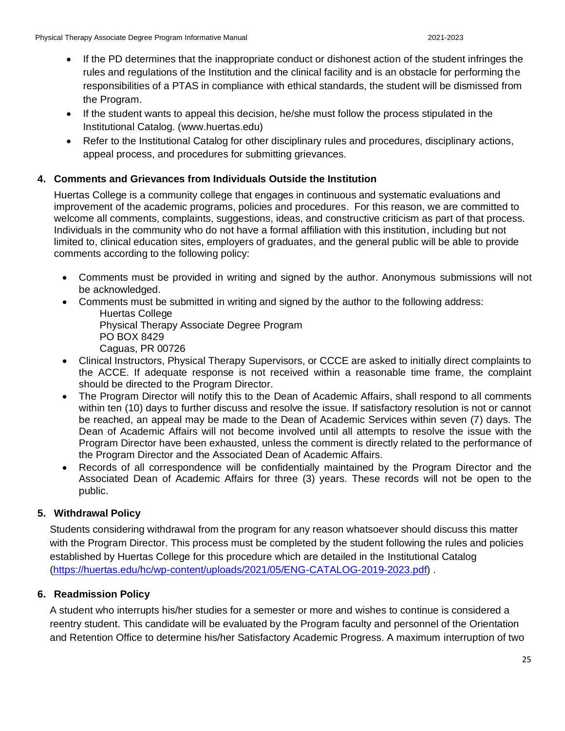- If the PD determines that the inappropriate conduct or dishonest action of the student infringes the rules and regulations of the Institution and the clinical facility and is an obstacle for performing the responsibilities of a PTAS in compliance with ethical standards, the student will be dismissed from the Program.
- If the student wants to appeal this decision, he/she must follow the process stipulated in the Institutional Catalog. (www.huertas.edu)
- Refer to the Institutional Catalog for other disciplinary rules and procedures, disciplinary actions, appeal process, and procedures for submitting grievances.

### <span id="page-24-0"></span>**4. Comments and Grievances from Individuals Outside the Institution**

Huertas College is a community college that engages in continuous and systematic evaluations and improvement of the academic programs, policies and procedures. For this reason, we are committed to welcome all comments, complaints, suggestions, ideas, and constructive criticism as part of that process. Individuals in the community who do not have a formal affiliation with this institution, including but not limited to, clinical education sites, employers of graduates, and the general public will be able to provide comments according to the following policy:

- Comments must be provided in writing and signed by the author. Anonymous submissions will not be acknowledged.
- Comments must be submitted in writing and signed by the author to the following address: Huertas College

Physical Therapy Associate Degree Program PO BOX 8429

Caguas, PR 00726

- Clinical Instructors, Physical Therapy Supervisors, or CCCE are asked to initially direct complaints to the ACCE. If adequate response is not received within a reasonable time frame, the complaint should be directed to the Program Director.
- The Program Director will notify this to the Dean of Academic Affairs, shall respond to all comments within ten (10) days to further discuss and resolve the issue. If satisfactory resolution is not or cannot be reached, an appeal may be made to the Dean of Academic Services within seven (7) days. The Dean of Academic Affairs will not become involved until all attempts to resolve the issue with the Program Director have been exhausted, unless the comment is directly related to the performance of the Program Director and the Associated Dean of Academic Affairs.
- Records of all correspondence will be confidentially maintained by the Program Director and the Associated Dean of Academic Affairs for three (3) years. These records will not be open to the public.

### <span id="page-24-1"></span>**5. Withdrawal Policy**

Students considering withdrawal from the program for any reason whatsoever should discuss this matter with the Program Director. This process must be completed by the student following the rules and policies established by Huertas College for this procedure which are detailed in the Institutional Catalog [\(https://huertas.edu/hc/wp-content/uploads/2021/05/ENG-CATALOG-2019-2023.pdf\)](https://huertas.edu/hc/wp-content/uploads/2021/05/ENG-CATALOG-2019-2023.pdf) .

### <span id="page-24-2"></span>**6. Readmission Policy**

A student who interrupts his/her studies for a semester or more and wishes to continue is considered a reentry student. This candidate will be evaluated by the Program faculty and personnel of the Orientation and Retention Office to determine his/her Satisfactory Academic Progress. A maximum interruption of two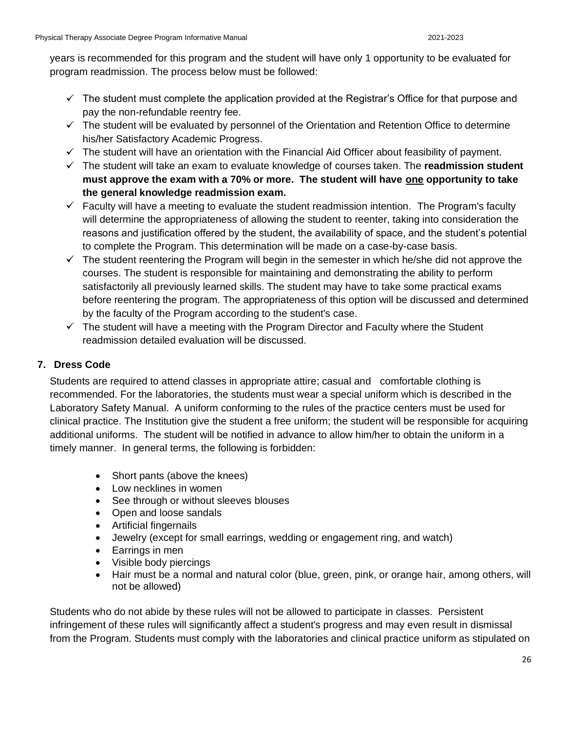years is recommended for this program and the student will have only 1 opportunity to be evaluated for program readmission. The process below must be followed:

- $\checkmark$  The student must complete the application provided at the Registrar's Office for that purpose and pay the non-refundable reentry fee.
- $\checkmark$  The student will be evaluated by personnel of the Orientation and Retention Office to determine his/her Satisfactory Academic Progress.
- $\checkmark$  The student will have an orientation with the Financial Aid Officer about feasibility of payment.
- The student will take an exam to evaluate knowledge of courses taken. The **readmission student must approve the exam with a 70% or more. The student will have one opportunity to take the general knowledge readmission exam.**
- $\checkmark$  Faculty will have a meeting to evaluate the student readmission intention. The Program's faculty will determine the appropriateness of allowing the student to reenter, taking into consideration the reasons and justification offered by the student, the availability of space, and the student's potential to complete the Program. This determination will be made on a case-by-case basis.
- $\checkmark$  The student reentering the Program will begin in the semester in which he/she did not approve the courses. The student is responsible for maintaining and demonstrating the ability to perform satisfactorily all previously learned skills. The student may have to take some practical exams before reentering the program. The appropriateness of this option will be discussed and determined by the faculty of the Program according to the student's case.
- $\checkmark$  The student will have a meeting with the Program Director and Faculty where the Student readmission detailed evaluation will be discussed.

### <span id="page-25-0"></span>**7. Dress Code**

Students are required to attend classes in appropriate attire; casual and comfortable clothing is recommended. For the laboratories, the students must wear a special uniform which is described in the Laboratory Safety Manual. A uniform conforming to the rules of the practice centers must be used for clinical practice. The Institution give the student a free uniform; the student will be responsible for acquiring additional uniforms. The student will be notified in advance to allow him/her to obtain the uniform in a timely manner. In general terms, the following is forbidden:

- Short pants (above the knees)
- Low necklines in women
- See through or without sleeves blouses
- Open and loose sandals
- Artificial fingernails
- Jewelry (except for small earrings, wedding or engagement ring, and watch)
- Earrings in men
- Visible body piercings
- Hair must be a normal and natural color (blue, green, pink, or orange hair, among others, will not be allowed)

Students who do not abide by these rules will not be allowed to participate in classes. Persistent infringement of these rules will significantly affect a student's progress and may even result in dismissal from the Program. Students must comply with the laboratories and clinical practice uniform as stipulated on